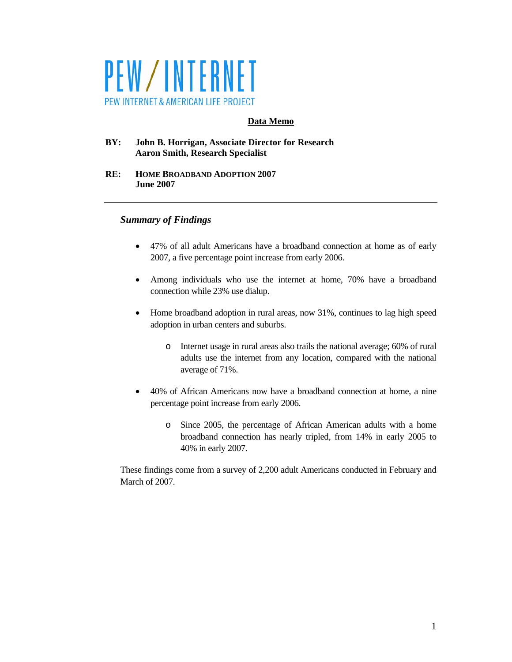

## **Data Memo**

**BY: John B. Horrigan, Associate Director for Research Aaron Smith, Research Specialist** 

**RE: HOME BROADBAND ADOPTION 2007 June 2007** 

## *Summary of Findings*

- 47% of all adult Americans have a broadband connection at home as of early 2007, a five percentage point increase from early 2006.
- Among individuals who use the internet at home, 70% have a broadband connection while 23% use dialup.
- Home broadband adoption in rural areas, now 31%, continues to lag high speed adoption in urban centers and suburbs.
	- o Internet usage in rural areas also trails the national average; 60% of rural adults use the internet from any location, compared with the national average of 71%.
- 40% of African Americans now have a broadband connection at home, a nine percentage point increase from early 2006.
	- o Since 2005, the percentage of African American adults with a home broadband connection has nearly tripled, from 14% in early 2005 to 40% in early 2007.

These findings come from a survey of 2,200 adult Americans conducted in February and March of 2007.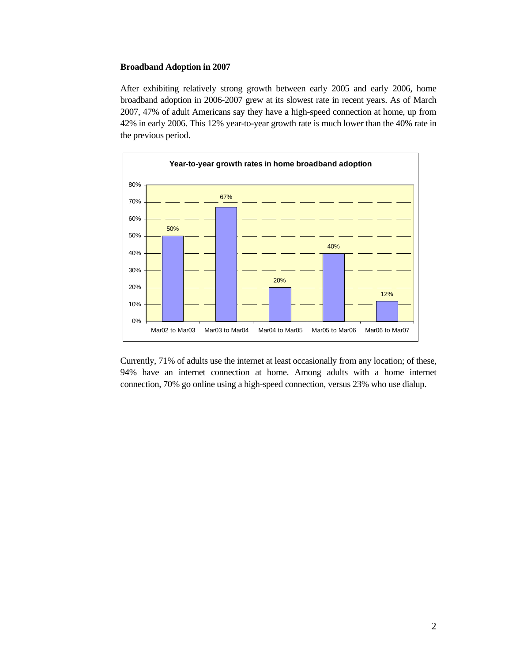#### **Broadband Adoption in 2007**

After exhibiting relatively strong growth between early 2005 and early 2006, home broadband adoption in 2006-2007 grew at its slowest rate in recent years. As of March 2007, 47% of adult Americans say they have a high-speed connection at home, up from 42% in early 2006. This 12% year-to-year growth rate is much lower than the 40% rate in the previous period.



Currently, 71% of adults use the internet at least occasionally from any location; of these, 94% have an internet connection at home. Among adults with a home internet connection, 70% go online using a high-speed connection, versus 23% who use dialup.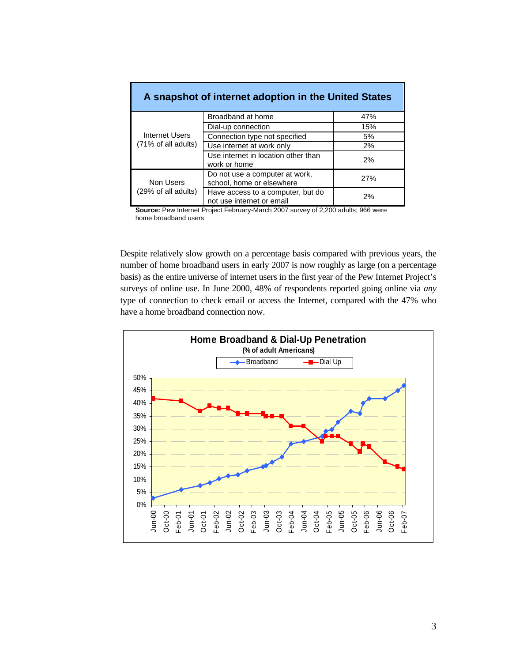| A snapshot of internet adoption in the United States |                                                                |     |  |  |  |
|------------------------------------------------------|----------------------------------------------------------------|-----|--|--|--|
| Internet Users<br>(71% of all adults)                | Broadband at home                                              | 47% |  |  |  |
|                                                      | Dial-up connection                                             | 15% |  |  |  |
|                                                      | Connection type not specified                                  | 5%  |  |  |  |
|                                                      | Use internet at work only                                      | 2%  |  |  |  |
|                                                      | Use internet in location other than<br>work or home            | 2%  |  |  |  |
| Non Users<br>(29% of all adults)                     | Do not use a computer at work,<br>school, home or elsewhere    | 27% |  |  |  |
|                                                      | Have access to a computer, but do<br>not use internet or email | 2%  |  |  |  |

**Source:** Pew Internet Project February-March 2007 survey of 2,200 adults; 966 were home broadband users

Despite relatively slow growth on a percentage basis compared with previous years, the number of home broadband users in early 2007 is now roughly as large (on a percentage basis) as the entire universe of internet users in the first year of the Pew Internet Project's surveys of online use. In June 2000, 48% of respondents reported going online via *any* type of connection to check email or access the Internet, compared with the 47% who have a home broadband connection now.

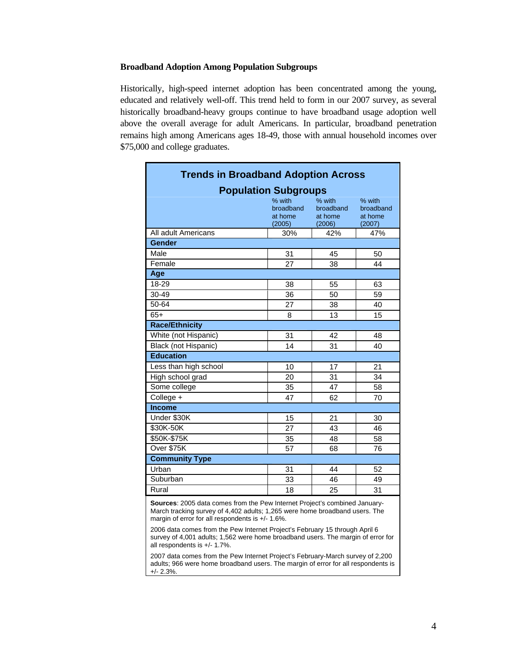#### **Broadband Adoption Among Population Subgroups**

Historically, high-speed internet adoption has been concentrated among the young, educated and relatively well-off. This trend held to form in our 2007 survey, as several historically broadband-heavy groups continue to have broadband usage adoption well above the overall average for adult Americans. In particular, broadband penetration remains high among Americans ages 18-49, those with annual household incomes over \$75,000 and college graduates.

| <b>Trends in Broadband Adoption Across</b>                                 |                                          |                                          |                                          |  |  |
|----------------------------------------------------------------------------|------------------------------------------|------------------------------------------|------------------------------------------|--|--|
| <b>Population Subgroups</b>                                                |                                          |                                          |                                          |  |  |
|                                                                            | % with<br>broadband<br>at home<br>(2005) | % with<br>broadband<br>at home<br>(2006) | % with<br>broadband<br>at home<br>(2007) |  |  |
| All adult Americans                                                        | 30%                                      | 42%                                      | 47%                                      |  |  |
| Gender                                                                     |                                          |                                          |                                          |  |  |
| Male                                                                       | 31                                       | 45                                       | 50                                       |  |  |
| Female                                                                     | 27                                       | 38                                       | 44                                       |  |  |
| Age                                                                        |                                          |                                          |                                          |  |  |
| 18-29                                                                      | 38                                       | 55                                       | 63                                       |  |  |
| 30-49                                                                      | 36                                       | 50                                       | 59                                       |  |  |
| 50-64                                                                      | 27                                       | 38                                       | 40                                       |  |  |
| $65+$                                                                      | 8                                        | 13                                       | 15                                       |  |  |
| <b>Race/Ethnicity</b>                                                      |                                          |                                          |                                          |  |  |
| White (not Hispanic)                                                       | 31                                       | 42                                       | 48                                       |  |  |
| Black (not Hispanic)                                                       | 14                                       | 31                                       | 40                                       |  |  |
| <b>Education</b>                                                           |                                          |                                          |                                          |  |  |
| Less than high school                                                      | 10                                       | 17                                       | 21                                       |  |  |
| High school grad                                                           | 20                                       | 31                                       | 34                                       |  |  |
| Some college                                                               | 35                                       | 47                                       | 58                                       |  |  |
| College +                                                                  | 47                                       | 62                                       | 70                                       |  |  |
| <b>Income</b>                                                              |                                          |                                          |                                          |  |  |
| Under \$30K                                                                | 15                                       | 21                                       | 30                                       |  |  |
| \$30K-50K                                                                  | 27                                       | 43                                       | 46                                       |  |  |
| \$50K-\$75K                                                                | 35                                       | 48                                       | 58                                       |  |  |
| Over \$75K                                                                 | 57                                       | 68                                       | 76                                       |  |  |
| <b>Community Type</b>                                                      |                                          |                                          |                                          |  |  |
| Urban                                                                      | 31                                       | 44                                       | 52                                       |  |  |
| Suburban                                                                   | 33                                       | 46                                       | 49                                       |  |  |
| Rural                                                                      | 18                                       | 25                                       | 31                                       |  |  |
| Sources: 2005 data comes from the Pew Internet Project's combined January- |                                          |                                          |                                          |  |  |

March tracking survey of 4,402 adults; 1,265 were home broadband users. The margin of error for all respondents is +/- 1.6%.

2006 data comes from the Pew Internet Project's February 15 through April 6 survey of 4,001 adults; 1,562 were home broadband users. The margin of error for all respondents is +/- 1.7%.

2007 data comes from the Pew Internet Project's February-March survey of 2,200 adults; 966 were home broadband users. The margin of error for all respondents is +/- 2.3%.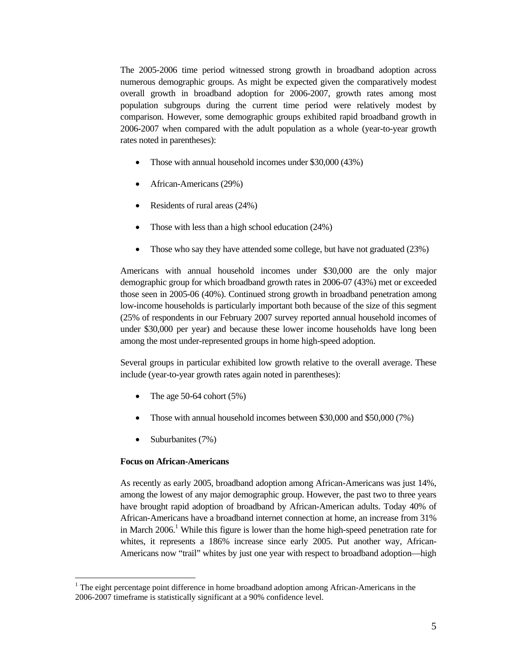The 2005-2006 time period witnessed strong growth in broadband adoption across numerous demographic groups. As might be expected given the comparatively modest overall growth in broadband adoption for 2006-2007, growth rates among most population subgroups during the current time period were relatively modest by comparison. However, some demographic groups exhibited rapid broadband growth in 2006-2007 when compared with the adult population as a whole (year-to-year growth rates noted in parentheses):

- Those with annual household incomes under \$30,000 (43%)
- African-Americans (29%)
- Residents of rural areas (24%)
- Those with less than a high school education (24%)
- Those who say they have attended some college, but have not graduated (23%)

Americans with annual household incomes under \$30,000 are the only major demographic group for which broadband growth rates in 2006-07 (43%) met or exceeded those seen in 2005-06 (40%). Continued strong growth in broadband penetration among low-income households is particularly important both because of the size of this segment (25% of respondents in our February 2007 survey reported annual household incomes of under \$30,000 per year) and because these lower income households have long been among the most under-represented groups in home high-speed adoption.

Several groups in particular exhibited low growth relative to the overall average. These include (year-to-year growth rates again noted in parentheses):

- The age  $50-64$  cohort  $(5%)$
- Those with annual household incomes between \$30,000 and \$50,000 (7%)
- Suburbanites (7%)

### **Focus on African-Americans**

 $\overline{a}$ 

As recently as early 2005, broadband adoption among African-Americans was just 14%, among the lowest of any major demographic group. However, the past two to three years have brought rapid adoption of broadband by African-American adults. Today 40% of African-Americans have a broadband internet connection at home, an increase from 31% in March  $2006$ .<sup>1</sup> While this figure is lower than the home high-speed penetration rate for whites, it represents a 186% increase since early 2005. Put another way, African-Americans now "trail" whites by just one year with respect to broadband adoption—high

<sup>1</sup> The eight percentage point difference in home broadband adoption among African-Americans in the 2006-2007 timeframe is statistically significant at a 90% confidence level.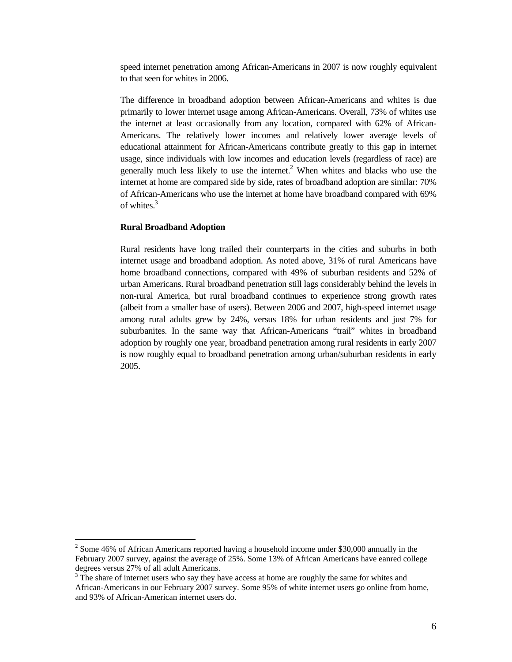speed internet penetration among African-Americans in 2007 is now roughly equivalent to that seen for whites in 2006.

The difference in broadband adoption between African-Americans and whites is due primarily to lower internet usage among African-Americans. Overall, 73% of whites use the internet at least occasionally from any location, compared with 62% of African-Americans. The relatively lower incomes and relatively lower average levels of educational attainment for African-Americans contribute greatly to this gap in internet usage, since individuals with low incomes and education levels (regardless of race) are generally much less likely to use the internet.<sup>2</sup> When whites and blacks who use the internet at home are compared side by side, rates of broadband adoption are similar: 70% of African-Americans who use the internet at home have broadband compared with 69% of whites.3

#### **Rural Broadband Adoption**

 $\overline{a}$ 

Rural residents have long trailed their counterparts in the cities and suburbs in both internet usage and broadband adoption. As noted above, 31% of rural Americans have home broadband connections, compared with 49% of suburban residents and 52% of urban Americans. Rural broadband penetration still lags considerably behind the levels in non-rural America, but rural broadband continues to experience strong growth rates (albeit from a smaller base of users). Between 2006 and 2007, high-speed internet usage among rural adults grew by 24%, versus 18% for urban residents and just 7% for suburbanites. In the same way that African-Americans "trail" whites in broadband adoption by roughly one year, broadband penetration among rural residents in early 2007 is now roughly equal to broadband penetration among urban/suburban residents in early 2005.

 $2^{2}$  Some 46% of African Americans reported having a household income under \$30,000 annually in the February 2007 survey, against the average of 25%. Some 13% of African Americans have eanred college degrees versus 27% of all adult Americans.

 $3$  The share of internet users who say they have access at home are roughly the same for whites and African-Americans in our February 2007 survey. Some 95% of white internet users go online from home, and 93% of African-American internet users do.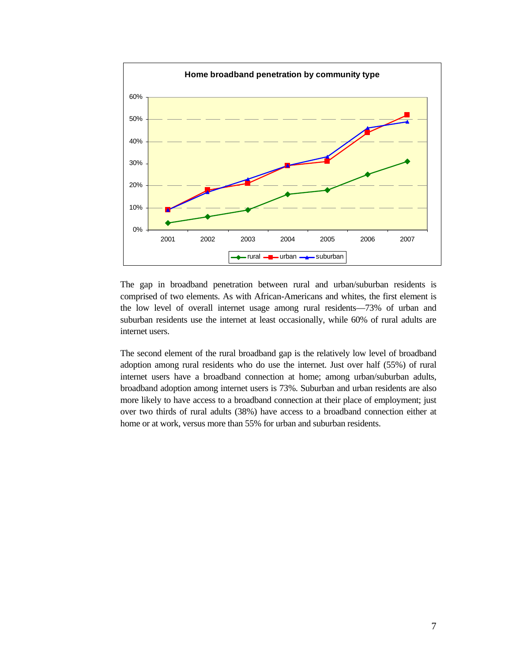

The gap in broadband penetration between rural and urban/suburban residents is comprised of two elements. As with African-Americans and whites, the first element is the low level of overall internet usage among rural residents—73% of urban and suburban residents use the internet at least occasionally, while 60% of rural adults are internet users.

The second element of the rural broadband gap is the relatively low level of broadband adoption among rural residents who do use the internet. Just over half (55%) of rural internet users have a broadband connection at home; among urban/suburban adults, broadband adoption among internet users is 73%. Suburban and urban residents are also more likely to have access to a broadband connection at their place of employment; just over two thirds of rural adults (38%) have access to a broadband connection either at home or at work, versus more than 55% for urban and suburban residents.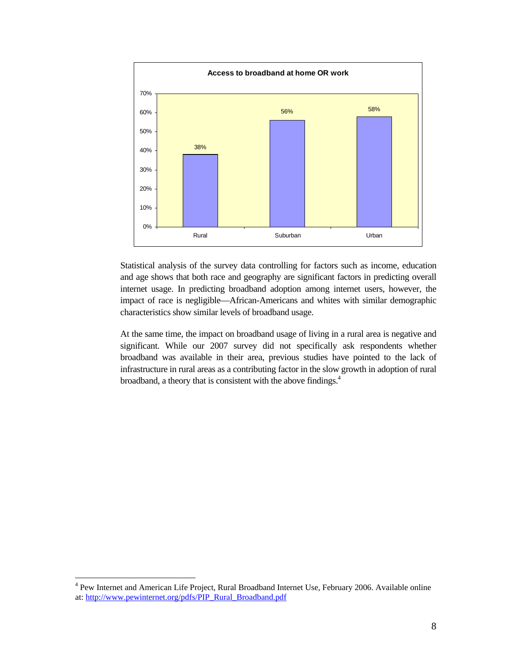

Statistical analysis of the survey data controlling for factors such as income, education and age shows that both race and geography are significant factors in predicting overall internet usage. In predicting broadband adoption among internet users, however, the impact of race is negligible—African-Americans and whites with similar demographic characteristics show similar levels of broadband usage.

At the same time, the impact on broadband usage of living in a rural area is negative and significant. While our 2007 survey did not specifically ask respondents whether broadband was available in their area, previous studies have pointed to the lack of infrastructure in rural areas as a contributing factor in the slow growth in adoption of rural broadband, a theory that is consistent with the above findings.4

 4 Pew Internet and American Life Project, Rural Broadband Internet Use, February 2006. Available online at: http://www.pewinternet.org/pdfs/PIP\_Rural\_Broadband.pdf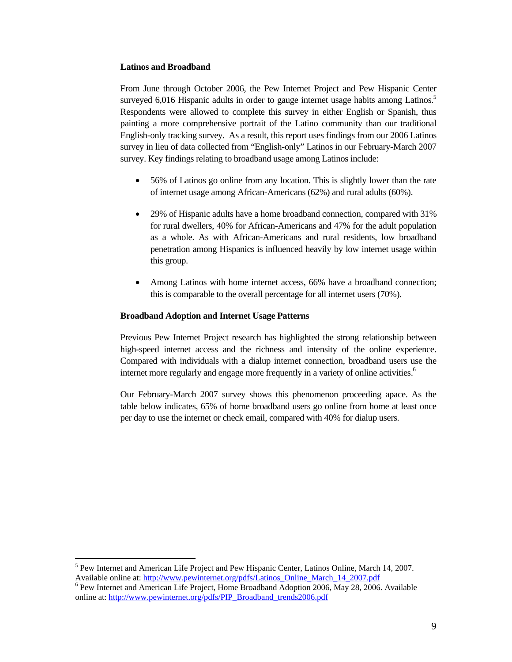### **Latinos and Broadband**

From June through October 2006, the Pew Internet Project and Pew Hispanic Center surveyed 6,016 Hispanic adults in order to gauge internet usage habits among Latinos.<sup>5</sup> Respondents were allowed to complete this survey in either English or Spanish, thus painting a more comprehensive portrait of the Latino community than our traditional English-only tracking survey. As a result, this report uses findings from our 2006 Latinos survey in lieu of data collected from "English-only" Latinos in our February-March 2007 survey. Key findings relating to broadband usage among Latinos include:

- 56% of Latinos go online from any location. This is slightly lower than the rate of internet usage among African-Americans (62%) and rural adults (60%).
- 29% of Hispanic adults have a home broadband connection, compared with 31% for rural dwellers, 40% for African-Americans and 47% for the adult population as a whole. As with African-Americans and rural residents, low broadband penetration among Hispanics is influenced heavily by low internet usage within this group.
- Among Latinos with home internet access, 66% have a broadband connection; this is comparable to the overall percentage for all internet users (70%).

## **Broadband Adoption and Internet Usage Patterns**

Previous Pew Internet Project research has highlighted the strong relationship between high-speed internet access and the richness and intensity of the online experience. Compared with individuals with a dialup internet connection, broadband users use the internet more regularly and engage more frequently in a variety of online activities.<sup>6</sup>

Our February-March 2007 survey shows this phenomenon proceeding apace. As the table below indicates, 65% of home broadband users go online from home at least once per day to use the internet or check email, compared with 40% for dialup users.

 $\overline{a}$ 

<sup>&</sup>lt;sup>5</sup> Pew Internet and American Life Project and Pew Hispanic Center, Latinos Online, March 14, 2007. Available online at: http://www.pewinternet.org/pdfs/Latinos\_Online\_March\_14\_2007.pdf 6

 $6$  Pew Internet and American Life Project, Home Broadband Adoption 2006, May 28, 2006. Available online at: http://www.pewinternet.org/pdfs/PIP\_Broadband\_trends2006.pdf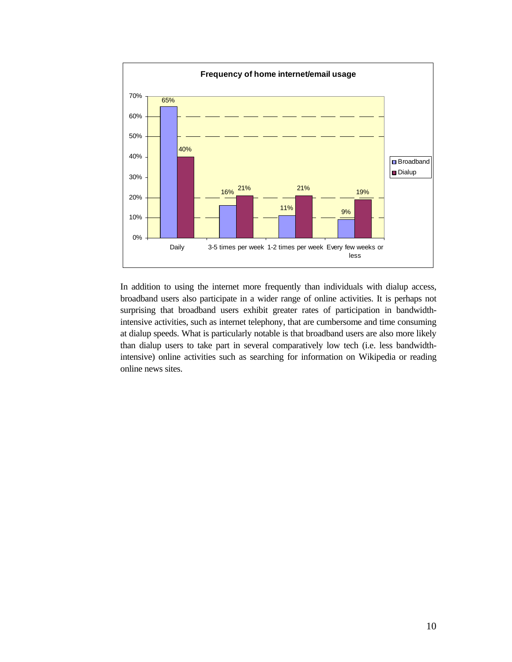

In addition to using the internet more frequently than individuals with dialup access, broadband users also participate in a wider range of online activities. It is perhaps not surprising that broadband users exhibit greater rates of participation in bandwidthintensive activities, such as internet telephony, that are cumbersome and time consuming at dialup speeds. What is particularly notable is that broadband users are also more likely than dialup users to take part in several comparatively low tech (i.e. less bandwidthintensive) online activities such as searching for information on Wikipedia or reading online news sites.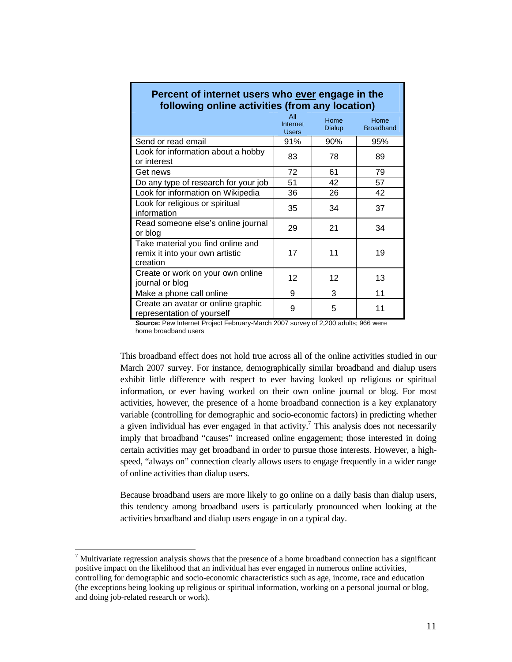| Percent of internet users who ever engage in the<br>following online activities (from any location) |                                 |                       |                          |  |  |
|-----------------------------------------------------------------------------------------------------|---------------------------------|-----------------------|--------------------------|--|--|
|                                                                                                     | All<br>Internet<br><b>Users</b> | Home<br><b>Dialup</b> | Home<br><b>Broadband</b> |  |  |
| Send or read email                                                                                  | 91%                             | 90%                   | 95%                      |  |  |
| Look for information about a hobby<br>or interest                                                   | 83                              | 78                    | 89                       |  |  |
| Get news                                                                                            | 72                              | 61                    | 79                       |  |  |
| Do any type of research for your job                                                                | 51                              | 42                    | 57                       |  |  |
| Look for information on Wikipedia                                                                   | 36                              | 26                    | 42                       |  |  |
| Look for religious or spiritual<br>information                                                      | 35                              | 34                    | 37                       |  |  |
| Read someone else's online journal<br>or blog                                                       | 29                              | 21                    | 34                       |  |  |
| Take material you find online and<br>remix it into your own artistic<br>creation                    | 17                              | 11                    | 19                       |  |  |
| Create or work on your own online<br>journal or blog                                                | 12                              | 12                    | 13                       |  |  |
| Make a phone call online                                                                            | 9                               | 3                     | 11                       |  |  |
| Create an avatar or online graphic<br>representation of yourself                                    | 9                               | 5                     | 11                       |  |  |

# **Percent of internet users who ever engage in the**

**Source:** Pew Internet Project February-March 2007 survey of 2,200 adults; 966 were home broadband users

This broadband effect does not hold true across all of the online activities studied in our March 2007 survey. For instance, demographically similar broadband and dialup users exhibit little difference with respect to ever having looked up religious or spiritual information, or ever having worked on their own online journal or blog. For most activities, however, the presence of a home broadband connection is a key explanatory variable (controlling for demographic and socio-economic factors) in predicting whether a given individual has ever engaged in that activity.<sup>7</sup> This analysis does not necessarily imply that broadband "causes" increased online engagement; those interested in doing certain activities may get broadband in order to pursue those interests. However, a highspeed, "always on" connection clearly allows users to engage frequently in a wider range of online activities than dialup users.

Because broadband users are more likely to go online on a daily basis than dialup users, this tendency among broadband users is particularly pronounced when looking at the activities broadband and dialup users engage in on a typical day.

 $\overline{a}$ 

 $<sup>7</sup>$  Multivariate regression analysis shows that the presence of a home broadband connection has a significant</sup> positive impact on the likelihood that an individual has ever engaged in numerous online activities, controlling for demographic and socio-economic characteristics such as age, income, race and education (the exceptions being looking up religious or spiritual information, working on a personal journal or blog, and doing job-related research or work).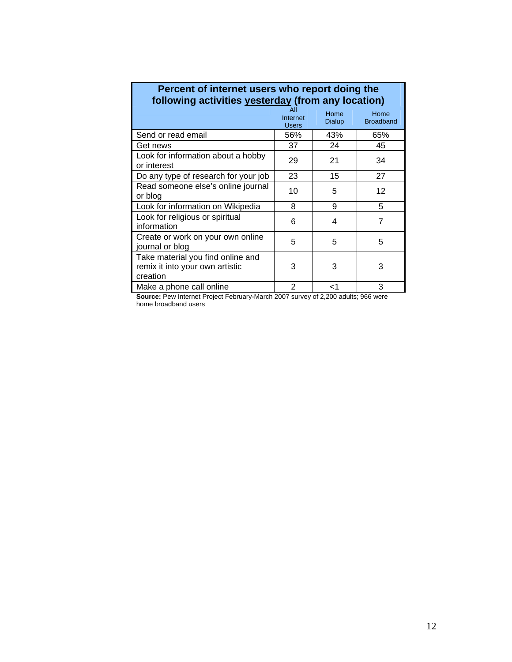| Percent of internet users who report doing the<br>following activities yesterday (from any location) |                                 |                |                          |  |  |
|------------------------------------------------------------------------------------------------------|---------------------------------|----------------|--------------------------|--|--|
|                                                                                                      | All<br>Internet<br><b>Users</b> | Home<br>Dialup | Home<br><b>Broadband</b> |  |  |
| Send or read email                                                                                   | 56%                             | 43%            | 65%                      |  |  |
| Get news                                                                                             | 37                              | 24             | 45                       |  |  |
| Look for information about a hobby<br>or interest                                                    | 29                              | 21             | 34                       |  |  |
| Do any type of research for your job                                                                 | 23                              | 15             | 27                       |  |  |
| Read someone else's online journal<br>or blog                                                        | 10                              | 5              | 12                       |  |  |
| Look for information on Wikipedia                                                                    | 8                               | 9              | 5                        |  |  |
| Look for religious or spiritual<br>information                                                       | 6                               | 4              | 7                        |  |  |
| Create or work on your own online<br>journal or blog                                                 | 5                               | 5              | 5                        |  |  |
| Take material you find online and<br>remix it into your own artistic<br>creation                     | 3                               | 3              | 3                        |  |  |
| Make a phone call online                                                                             | 2                               | ا>             | 3                        |  |  |

# **Percent of internet users who report doing the**

Т

 $\overline{\phantom{0}}$ 

**Source:** Pew Internet Project February-March 2007 survey of 2,200 adults; 966 were home broadband users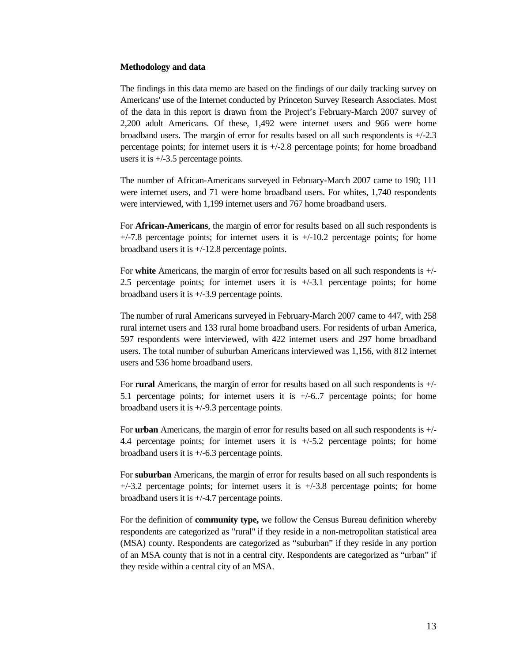#### **Methodology and data**

The findings in this data memo are based on the findings of our daily tracking survey on Americans' use of the Internet conducted by Princeton Survey Research Associates. Most of the data in this report is drawn from the Project's February-March 2007 survey of 2,200 adult Americans. Of these, 1,492 were internet users and 966 were home broadband users. The margin of error for results based on all such respondents is +/-2.3 percentage points; for internet users it is  $+/-2.8$  percentage points; for home broadband users it is +/-3.5 percentage points.

The number of African-Americans surveyed in February-March 2007 came to 190; 111 were internet users, and 71 were home broadband users. For whites, 1,740 respondents were interviewed, with 1,199 internet users and 767 home broadband users.

For **African-Americans**, the margin of error for results based on all such respondents is  $+/-7.8$  percentage points; for internet users it is  $+/-10.2$  percentage points; for home broadband users it is +/-12.8 percentage points.

For **white** Americans, the margin of error for results based on all such respondents is +/- 2.5 percentage points; for internet users it is +/-3.1 percentage points; for home broadband users it is +/-3.9 percentage points.

The number of rural Americans surveyed in February-March 2007 came to 447, with 258 rural internet users and 133 rural home broadband users. For residents of urban America, 597 respondents were interviewed, with 422 internet users and 297 home broadband users. The total number of suburban Americans interviewed was 1,156, with 812 internet users and 536 home broadband users.

For **rural** Americans, the margin of error for results based on all such respondents is +/- 5.1 percentage points; for internet users it is +/-6..7 percentage points; for home broadband users it is +/-9.3 percentage points.

For **urban** Americans, the margin of error for results based on all such respondents is +/- 4.4 percentage points; for internet users it is +/-5.2 percentage points; for home broadband users it is +/-6.3 percentage points.

For **suburban** Americans, the margin of error for results based on all such respondents is  $+/-3.2$  percentage points; for internet users it is  $+/-3.8$  percentage points; for home broadband users it is +/-4.7 percentage points.

For the definition of **community type,** we follow the Census Bureau definition whereby respondents are categorized as "rural" if they reside in a non-metropolitan statistical area (MSA) county. Respondents are categorized as "suburban" if they reside in any portion of an MSA county that is not in a central city. Respondents are categorized as "urban" if they reside within a central city of an MSA.